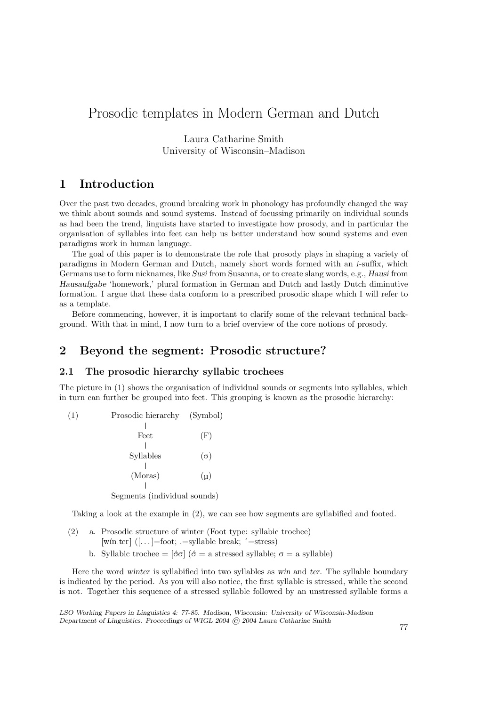# Prosodic templates in Modern German and Dutch

Laura Catharine Smith University of Wisconsin–Madison

# 1 Introduction

Over the past two decades, ground breaking work in phonology has profoundly changed the way we think about sounds and sound systems. Instead of focussing primarily on individual sounds as had been the trend, linguists have started to investigate how prosody, and in particular the organisation of syllables into feet can help us better understand how sound systems and even paradigms work in human language.

The goal of this paper is to demonstrate the role that prosody plays in shaping a variety of paradigms in Modern German and Dutch, namely short words formed with an i-suffix, which Germans use to form nicknames, like Susi from Susanna, or to create slang words, e.g., Hausi from Hausaufgabe 'homework,' plural formation in German and Dutch and lastly Dutch diminutive formation. I argue that these data conform to a prescribed prosodic shape which I will refer to as a template.

Before commencing, however, it is important to clarify some of the relevant technical background. With that in mind, I now turn to a brief overview of the core notions of prosody.

## 2 Beyond the segment: Prosodic structure?

### 2.1 The prosodic hierarchy syllabic trochees

The picture in (1) shows the organisation of individual sounds or segments into syllables, which in turn can further be grouped into feet. This grouping is known as the prosodic hierarchy:

(1) Prosodic hierarchy (Symbol) | Feet (F)  $\overline{\phantom{a}}$ Syllables  $(\sigma)$ |  $(Moras)$   $(\mu)$ | Segments (individual sounds)

Taking a look at the example in (2), we can see how segments are syllabified and footed.

- (2) a. Prosodic structure of winter (Foot type: syllabic trochee) [win.ter]  $([-+] = foot; == syllable break; '=stress)$ 
	- b. Syllabic trochee =  $\lbrack \dot{\sigma}\sigma \rbrack$  ( $\dot{\sigma} =$  a stressed syllable;  $\sigma =$  a syllable)

Here the word winter is syllabified into two syllables as win and ter. The syllable boundary is indicated by the period. As you will also notice, the first syllable is stressed, while the second is not. Together this sequence of a stressed syllable followed by an unstressed syllable forms a

LSO Working Papers in Linguistics 4: 77-85. Madison, Wisconsin: University of Wisconsin-Madison Department of Linguistics. Proceedings of WIGL 2004 © 2004 Laura Catharine Smith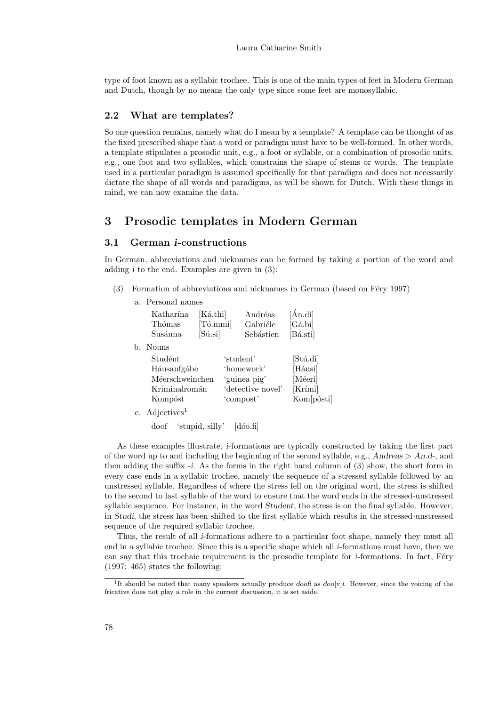type of foot known as a syllabic trochee. This is one of the main types of feet in Modern German and Dutch, though by no means the only type since some feet are monosyllabic.

#### 2.2 What are templates?

So one question remains, namely what do I mean by a template? A template can be thought of as the fixed prescribed shape that a word or paradigm must have to be well-formed. In other words, a template stipulates a prosodic unit, e.g., a foot or syllable, or a combination of prosodic units, e.g., one foot and two syllables, which constrains the shape of stems or words. The template used in a particular paradigm is assumed specifically for that paradigm and does not necessarily dictate the shape of all words and paradigms, as will be shown for Dutch. With these things in mind, we can now examine the data.

# 3 Prosodic templates in Modern German

#### 3.1 German i-constructions

In German, abbreviations and nicknames can be formed by taking a portion of the word and adding  $i$  to the end. Examples are given in  $(3)$ :

- (3) Formation of abbreviations and nicknames in German (based on Féry 1997)
	- a. Personal names

|                | Katharína<br>Thómas<br>Susánna | [Ká.thi]<br>[Tó.mmi]<br>$[S$ ú.si $]$ |           | Andréas<br>Gabriéle<br>Sebástien | [Án.di]<br>$[G\acute{a}$ .bi<br>[Bá.sti] |
|----------------|--------------------------------|---------------------------------------|-----------|----------------------------------|------------------------------------------|
| b.             | Nouns                          |                                       |           |                                  |                                          |
|                | Studént                        |                                       | 'student' |                                  | [Stú.di]                                 |
|                | Háusaufgábe                    |                                       |           | 'homework'                       | [Háusi]                                  |
|                | Méerschweinchen                |                                       |           | 'guinea pig'                     | [Méeri]                                  |
|                | Kriminalromán                  |                                       |           | 'detective novel'                | [Krími]                                  |
|                | Kompóst                        |                                       | 'compost' |                                  | Kom[pósti]                               |
| $\mathbf{c}$ . | $\rm Adjectives^1$             |                                       |           |                                  |                                          |

doof 'stupid, silly' [dóo.fi]

As these examples illustrate, i-formations are typically constructed by taking the first part of the word up to and including the beginning of the second syllable, e.g., Andreas  $> An.d$ , and then adding the suffix -i. As the forms in the right hand column of (3) show, the short form in every case ends in a syllabic trochee, namely the sequence of a stressed syllable followed by an unstressed syllable. Regardless of where the stress fell on the original word, the stress is shifted to the second to last syllable of the word to ensure that the word ends in the stressed-unstressed syllable sequence. For instance, in the word Student, the stress is on the final syllable. However, in Studi, the stress has been shifted to the first syllable which results in the stressed-unstressed sequence of the required syllabic trochee.

Thus, the result of all i-formations adhere to a particular foot shape, namely they must all end in a syllabic trochee. Since this is a specific shape which all i-formations must have, then we can say that this trochaic requirement is the prosodic template for *i*-formations. In fact, Fery (1997: 465) states the following:

<sup>&</sup>lt;sup>1</sup>It should be noted that many speakers actually produce *doofi* as *doo*[v]*i*. However, since the voicing of the fricative does not play a role in the current discussion, it is set aside.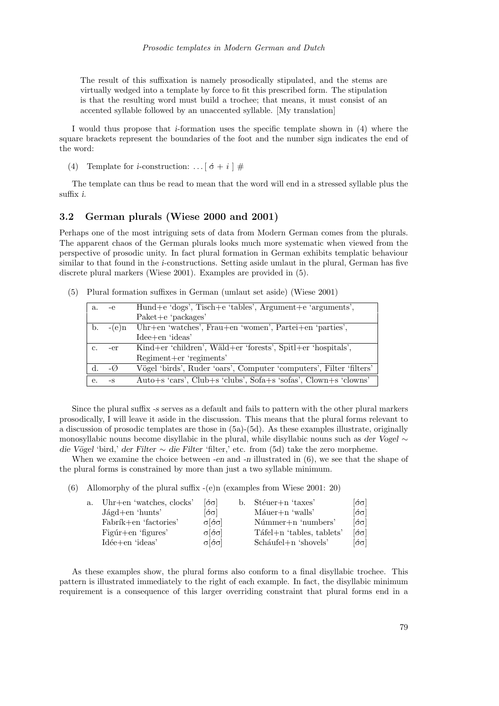The result of this suffixation is namely prosodically stipulated, and the stems are virtually wedged into a template by force to fit this prescribed form. The stipulation is that the resulting word must build a trochee; that means, it must consist of an accented syllable followed by an unaccented syllable. [My translation]

I would thus propose that i-formation uses the specific template shown in (4) where the square brackets represent the boundaries of the foot and the number sign indicates the end of the word:

(4) Template for *i*-construction: ...  $\begin{bmatrix} 6+i \end{bmatrix}$  #

The template can thus be read to mean that the word will end in a stressed syllable plus the suffix i.

### 3.2 German plurals (Wiese 2000 and 2001)

Perhaps one of the most intriguing sets of data from Modern German comes from the plurals. The apparent chaos of the German plurals looks much more systematic when viewed from the perspective of prosodic unity. In fact plural formation in German exhibits templatic behaviour similar to that found in the i-constructions. Setting aside umlaut in the plural, German has five discrete plural markers (Wiese 2001). Examples are provided in (5).

(5) Plural formation suffixes in German (umlaut set aside) (Wiese 2001)

| а. | -e             | Hund+e 'dogs', Tisch+e 'tables', Argument+e 'arguments',            |
|----|----------------|---------------------------------------------------------------------|
|    |                | $Paket+e'packages'$                                                 |
| b. | $-(e)$ n       | Uhr+en 'watches', Frau+en 'women', Partei+en 'parties',             |
|    |                | $Idee+en'ideas'$                                                    |
| c. | -er            | Kind+er 'children', Wäld+er 'forests', Spitl+er 'hospitals',        |
|    |                | Regiment+er 'regiments'                                             |
|    | $-\mathcal{O}$ | Vögel 'birds', Ruder 'oars', Computer 'computers', Filter 'filters' |
| е. | $-S$           | Auto+s 'cars', Club+s 'clubs', Sofa+s 'sofas', Clown+s 'clowns'     |

Since the plural suffix -s serves as a default and fails to pattern with the other plural markers prosodically, I will leave it aside in the discussion. This means that the plural forms relevant to a discussion of prosodic templates are those in (5a)-(5d). As these examples illustrate, originally monosyllabic nouns become disyllabic in the plural, while disyllabic nouns such as der Vogel ∼ die Vögel 'bird,' der Filter ∼ die Filter 'filter,' etc. from (5d) take the zero morpheme.

When we examine the choice between -en and -n illustrated in  $(6)$ , we see that the shape of the plural forms is constrained by more than just a two syllable minimum.

(6) Allomorphy of the plural suffix -(e)n (examples from Wiese 2001: 20)

| a. Uhr+en 'watches, clocks'      | $\lceil \acute{\sigma} \sigma \rceil$  | b. | Stéuer+n 'taxes'          | $ \acute{\sigma}\sigma $               |
|----------------------------------|----------------------------------------|----|---------------------------|----------------------------------------|
| $J\text{ágd}+\text{en 'hunts' }$ | $\left[\acute{\sigma}\sigma\right]$    |    | $M\text{áuer}+n$ 'walls'  | $\lbrack \sigma \sigma \rbrack$        |
| Fabrík+en 'factories'            | $\sigma$ $\sigma$ $\sigma$             |    | $N$ úmmer $+n$ 'numbers'  | $\lbrack \acute{\sigma}\sigma \rbrack$ |
| Figure 5                         | $\sigma$ [ $\acute{\sigma}$ $\sigma$ ] |    | Táfel+n 'tables, tablets' | $\lbrack \sigma \sigma \rbrack$        |
| $Idée+en'ideas'$                 | $\sigma$ [ $\acute{\sigma}$ $\sigma$ ] |    | $Scháufel+n 'shovels'$    | $\lceil\!\!\cdot\!\!\sigma\!\!\rceil$  |
|                                  |                                        |    |                           |                                        |

As these examples show, the plural forms also conform to a final disyllabic trochee. This pattern is illustrated immediately to the right of each example. In fact, the disyllabic minimum requirement is a consequence of this larger overriding constraint that plural forms end in a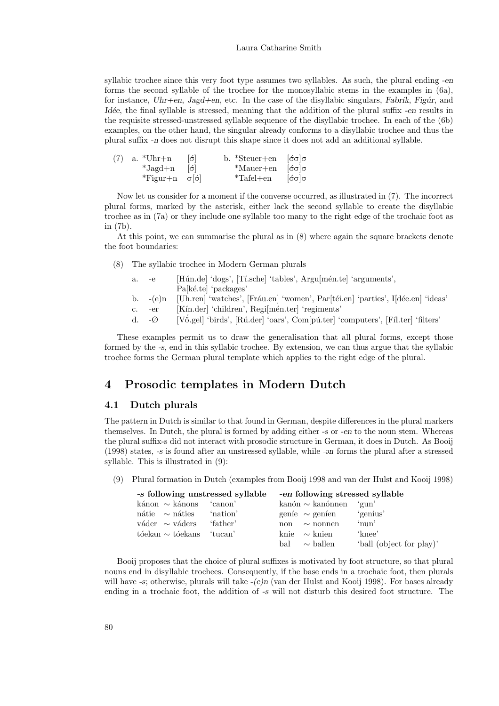#### Laura Catharine Smith

syllabic trochee since this very foot type assumes two syllables. As such, the plural ending -en forms the second syllable of the trochee for the monosyllabic stems in the examples in (6a), for instance,  $Uhr+en$ , Jagd+en, etc. In the case of the disyllabic singulars, Fabrík, Figúr, and Idée, the final syllable is stressed, meaning that the addition of the plural suffix -en results in the requisite stressed-unstressed syllable sequence of the disyllabic trochee. In each of the (6b) examples, on the other hand, the singular already conforms to a disyllabic trochee and thus the plural suffix -n does not disrupt this shape since it does not add an additional syllable.

| $\lceil 6 \rceil$<br>$(7)$ a. *Uhr+n               | $*$ Steuer+en<br>$ \sigma \sigma $ σ<br>◡.      |  |  |  |
|----------------------------------------------------|-------------------------------------------------|--|--|--|
| $\ddot{r}$ , $\ddot{r}$<br>$*Jagd+n$<br>$ \sigma $ | $*$ Mauer+en<br>$\lceil \sigma \sigma \rceil$   |  |  |  |
| $*$ Figur $+n$                                     | $*$ Tafel+en<br>$ \acute{\sigma}\sigma \sigma $ |  |  |  |

Now let us consider for a moment if the converse occurred, as illustrated in (7). The incorrect plural forms, marked by the asterisk, either lack the second syllable to create the disyllabic trochee as in (7a) or they include one syllable too many to the right edge of the trochaic foot as in (7b).

At this point, we can summarise the plural as in (8) where again the square brackets denote the foot boundaries:

- (8) The syllabic trochee in Modern German plurals
	- a. -e [Hún.de] 'dogs', [Tí.sche] 'tables', Argu[mén.te] 'arguments', Pa[ké.te] 'packages'
	- b.  $-(e)n$  [Uh.ren] 'watches', [Fráu.en] 'women', Par[téi.en] 'parties', I[dée.en] 'ideas'
	- c. -er [Kín.der] 'children', Regi[mén.ter] 'regiments'
	- d.  $-\varnothing$  [V $\ddot{\text{o}}$ .gel] 'birds', [Rú.der] 'oars', Com[pú.ter] 'computers', [Fíl.ter] 'filters'

These examples permit us to draw the generalisation that all plural forms, except those formed by the -s, end in this syllabic trochee. By extension, we can thus argue that the syllabic trochee forms the German plural template which applies to the right edge of the plural.

### 4 Prosodic templates in Modern Dutch

#### 4.1 Dutch plurals

The pattern in Dutch is similar to that found in German, despite differences in the plural markers themselves. In Dutch, the plural is formed by adding either -s or -en to the noun stem. Whereas the plural suffix-s did not interact with prosodic structure in German, it does in Dutch. As Booij  $(1998)$  states,  $-$ s is found after an unstressed syllable, while  $-$ on forms the plural after a stressed syllable. This is illustrated in (9):

(9) Plural formation in Dutch (examples from Booij 1998 and van der Hulst and Kooij 1998)

| -s following unstressed syllable |          |     |                                     | -en following stressed syllable |
|----------------------------------|----------|-----|-------------------------------------|---------------------------------|
| kánon $\sim$ kánons              | 'canon'  |     | $\text{kanón} \sim \text{kanónnen}$ | ∸'gun'                          |
| $n \text{átie}$ $\sim$ náties    | 'nation' |     | genie $\sim$ genien                 | 'genius'                        |
| váder $\sim$ váders              | 'father' | non | $\sim$ nonnen                       | 'nun'                           |
| $t$ óekan $\sim t$ óekans        | tucan'   |     | knie $\sim$ knien                   | 'knee'                          |
|                                  |          | bal | $\sim$ ballen                       | 'ball (object for play)'        |

Booij proposes that the choice of plural suffixes is motivated by foot structure, so that plural nouns end in disyllabic trochees. Consequently, if the base ends in a trochaic foot, then plurals will have -s; otherwise, plurals will take  $-(e)n$  (van der Hulst and Kooij 1998). For bases already ending in a trochaic foot, the addition of -s will not disturb this desired foot structure. The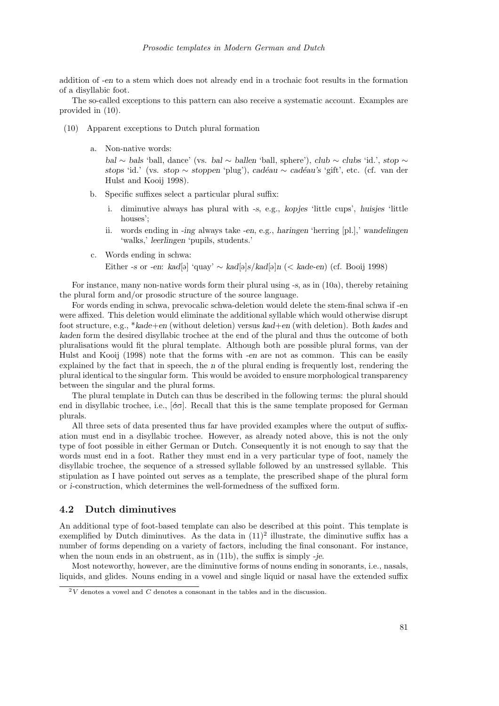addition of -en to a stem which does not already end in a trochaic foot results in the formation of a disyllabic foot.

The so-called exceptions to this pattern can also receive a systematic account. Examples are provided in (10).

- (10) Apparent exceptions to Dutch plural formation
	- a. Non-native words:

bal ∼ bals 'ball, dance' (vs. bal ∼ ballen 'ball, sphere'), club ∼ clubs 'id.', stop ∼ stops 'id.' (vs. stop ∼ stoppen 'plug'), cadéau ∼ cadéau's 'gift', etc. (cf. van der Hulst and Kooij 1998).

- b. Specific suffixes select a particular plural suffix:
	- i. diminutive always has plural with -s, e.g., kopjes 'little cups', huisjes 'little houses $\cdot$
	- ii. words ending in -ing always take -en, e.g., haringen 'herring [pl.],' wandelingen 'walks,' leerlingen 'pupils, students.'
- c. Words ending in schwa:

Either -s or -en: kad[ə] 'quay'  $\sim$  kad[ə]s/kad[ə]n (< kade-en) (cf. Booij 1998)

For instance, many non-native words form their plural using -s, as in (10a), thereby retaining the plural form and/or prosodic structure of the source language.

For words ending in schwa, prevocalic schwa-deletion would delete the stem-final schwa if -en were affixed. This deletion would eliminate the additional syllable which would otherwise disrupt foot structure, e.g., \*kade+en (without deletion) versus kad+en (with deletion). Both kades and kaden form the desired disyllabic trochee at the end of the plural and thus the outcome of both pluralisations would fit the plural template. Although both are possible plural forms, van der Hulst and Kooij (1998) note that the forms with -en are not as common. This can be easily explained by the fact that in speech, the n of the plural ending is frequently lost, rendering the plural identical to the singular form. This would be avoided to ensure morphological transparency between the singular and the plural forms.

The plural template in Dutch can thus be described in the following terms: the plural should end in disyllabic trochee, i.e.,  $[\dot{\sigma}\sigma]$ . Recall that this is the same template proposed for German plurals.

All three sets of data presented thus far have provided examples where the output of suffixation must end in a disyllabic trochee. However, as already noted above, this is not the only type of foot possible in either German or Dutch. Consequently it is not enough to say that the words must end in a foot. Rather they must end in a very particular type of foot, namely the disyllabic trochee, the sequence of a stressed syllable followed by an unstressed syllable. This stipulation as I have pointed out serves as a template, the prescribed shape of the plural form or i-construction, which determines the well-formedness of the suffixed form.

#### 4.2 Dutch diminutives

An additional type of foot-based template can also be described at this point. This template is exemplified by Dutch diminutives. As the data in  $(11)^2$  illustrate, the diminutive suffix has a number of forms depending on a variety of factors, including the final consonant. For instance, when the noun ends in an obstruent, as in (11b), the suffix is simply -je.

Most noteworthy, however, are the diminutive forms of nouns ending in sonorants, i.e., nasals, liquids, and glides. Nouns ending in a vowel and single liquid or nasal have the extended suffix

 $2V$  denotes a vowel and C denotes a consonant in the tables and in the discussion.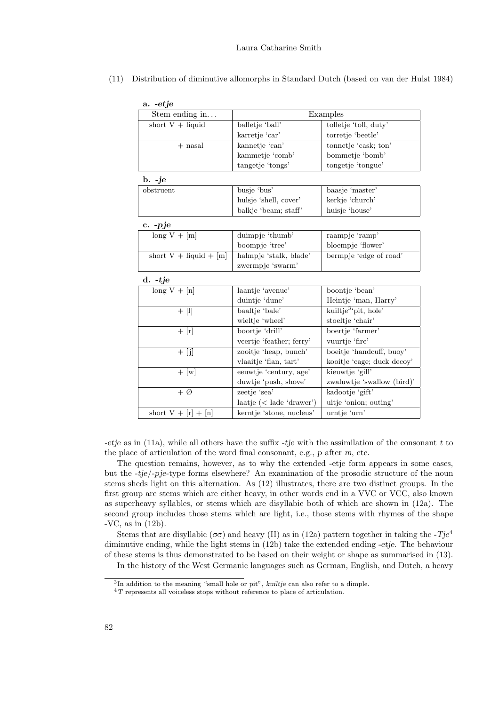| a. -etje                 |                                   |                                  |
|--------------------------|-----------------------------------|----------------------------------|
| Stem ending in           |                                   | Examples                         |
| short $V + liquid$       | balletje 'ball'                   | tolletje 'toll, duty'            |
|                          | karretje 'car'                    | torretje 'beetle'                |
| $+$ nasal                | kannetje 'can'                    | tonnetje 'cask; ton'             |
|                          | kammetje 'comb'                   | bommetje 'bomb'                  |
|                          | tangetje 'tongs'                  | tongetje 'tongue'                |
| $\mathbf{b.}$ -je        |                                   |                                  |
| obstruent                | busje 'bus'                       | baasje 'master'                  |
|                          | hulsje 'shell, cover'             | kerkje 'church'                  |
|                          | balkje 'beam; staff'              | huisje 'house'                   |
| $c. -pje$                |                                   |                                  |
| $long V + [m]$           | duimpje 'thumb'                   | raampje 'ramp'                   |
|                          | boompje 'tree'                    | bloempje 'flower'                |
| short $V + liquid + [m]$ | halmpje 'stalk, blade'            | bermpje 'edge of road'           |
|                          | zwermpje 'swarm'                  |                                  |
| $d. -tje$                |                                   |                                  |
| $long V + [n]$           | laantje 'avenue'                  | boontje 'bean'                   |
|                          | duintje 'dune'                    | Heintje 'man, Harry'             |
| $+$ [I]                  | baaltje 'bale'                    | kuiltje <sup>3</sup> 'pit, hole' |
|                          | wieltje 'wheel'                   | stoeltje 'chair'                 |
| $+$ [r]                  | boortje 'drill'                   | boertje 'farmer'                 |
|                          | veertje 'feather; ferry'          | vuurtje 'fire'                   |
| $+$ [j]                  | zooitje 'heap, bunch'             | boeitje 'handcuff, buoy'         |
|                          | vlaaitje 'flan, tart'             | kooitje 'cage; duck decoy'       |
| $+$ [w]                  | eeuwtje 'century, age'            | kieuwtje 'gill'                  |
|                          | duwtje 'push, shove'              | zwaluwtje 'swallow (bird)'       |
| $+$ Ø                    | zeetje 'sea'                      | kadootje 'gift'                  |
|                          | $\text{laatje}$ (< lade 'drawer') | uitje 'onion; outing'            |
| short $V + [r] + [n]$    | kerntje 'stone, nucleus'          | urntje 'urn'                     |
|                          |                                   |                                  |

(11) Distribution of diminutive allomorphs in Standard Dutch (based on van der Hulst 1984)

-etje as in (11a), while all others have the suffix -tje with the assimilation of the consonant t to the place of articulation of the word final consonant, e.g., p after m, etc.

The question remains, however, as to why the extended -etje form appears in some cases, but the -tje/-pje-type forms elsewhere? An examination of the prosodic structure of the noun stems sheds light on this alternation. As (12) illustrates, there are two distinct groups. In the first group are stems which are either heavy, in other words end in a VVC or VCC, also known as superheavy syllables, or stems which are disyllabic both of which are shown in (12a). The second group includes those stems which are light, i.e., those stems with rhymes of the shape -VC, as in (12b).

Stems that are disyllabic ( $\sigma\sigma$ ) and heavy (H) as in (12a) pattern together in taking the -Tje<sup>4</sup> diminutive ending, while the light stems in (12b) take the extended ending -etje. The behaviour of these stems is thus demonstrated to be based on their weight or shape as summarised in (13). In the history of the West Germanic languages such as German, English, and Dutch, a heavy

<sup>&</sup>lt;sup>3</sup>In addition to the meaning "small hole or pit", kuiltje can also refer to a dimple.

 ${}^{4}T$  represents all voiceless stops without reference to place of articulation.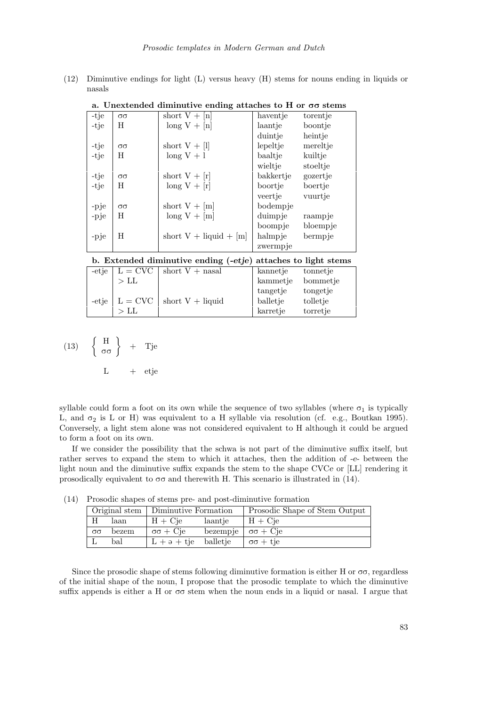(12) Diminutive endings for light (L) versus heavy (H) stems for nouns ending in liquids or

|      |                              | a. Unextended diminutive ending attaches to H or $\sigma\sigma$ stems |           |          |
|------|------------------------------|-----------------------------------------------------------------------|-----------|----------|
| -tje | $\sigma\sigma$               | short $V + [n]$                                                       | haventje  | torentje |
| -tje | $\mathbf{U}$<br>л            | $long V + [n]$                                                        | laantje   | boontje  |
|      |                              |                                                                       | duintje   | heintje  |
| -tje | $\sigma\sigma$               | short $V + [l]$                                                       | lepeltje  | mereltje |
| -tje | H                            | $long V + 1$                                                          | baaltje   | kuiltje  |
|      |                              |                                                                       | wieltje   | stoeltje |
| -tje | $\sigma\sigma$               | short $V + [r]$                                                       | bakkertje | gozertje |
| -tje | <b>TT</b><br>$\mathbf{H}$    | $\log V + [r]$                                                        | boortje   | boertje  |
|      |                              |                                                                       | veertje   | vuurtje  |
| -pje | $\sigma\sigma$               | short $V + [m]$                                                       | bodempje  |          |
| -pje | $\mathbf{U}$<br>$\mathbf{H}$ | $\log V + [m]$                                                        | duimpje   | raampje  |
|      |                              |                                                                       | boompje   | bloempje |
| -pje | H                            | short $V$ + liquid + [m]                                              | halmpje   | bermpje  |
|      |                              |                                                                       | zwermpje  |          |

a. Unextended diminutive ending attaches to H or  $\sigma\sigma$  stems

#### b. Extended diminutive ending (-etje) attaches to light stems

|        | -etje $\vert$ L = CVC $\vert$ short V + nasal  | kannetje | tonnetie |
|--------|------------------------------------------------|----------|----------|
| $>$ LL |                                                | kammetje | bommetje |
|        |                                                | tangetje | tongetje |
|        | -etje $\vert$ L = CVC $\vert$ short V + liquid | balletje | tolletje |
|        |                                                | karretje | torretje |

(13) 
$$
\left\{ \begin{array}{c} H \\ \sigma \sigma \end{array} \right\} + Tje
$$
  
L + etje

nasals

syllable could form a foot on its own while the sequence of two syllables (where  $\sigma_1$  is typically L, and  $\sigma_2$  is L or H) was equivalent to a H syllable via resolution (cf. e.g., Boutkan 1995). Conversely, a light stem alone was not considered equivalent to H although it could be argued to form a foot on its own.

If we consider the possibility that the schwa is not part of the diminutive suffix itself, but rather serves to expand the stem to which it attaches, then the addition of -e- between the light noun and the diminutive suffix expands the stem to the shape CVCe or [LL] rendering it prosodically equivalent to  $\sigma\sigma$  and therewith H. This scenario is illustrated in (14).

(14) Prosodic shapes of stems pre- and post-diminutive formation

|                | Original stem | Diminutive Formation |          | Prosodic Shape of Stem Output |
|----------------|---------------|----------------------|----------|-------------------------------|
| Η              | laan          | Cie<br>$H -$<br>+    | laantie  | $H + Cje$                     |
| $\sigma\sigma$ | bezem         | $\sigma\sigma + Cie$ | bezempje | $\sigma\sigma + C$ je         |
| ப              | bal           | $+$ $\theta$ + tie   | balletje | $+$ tje<br>$\sigma\sigma$     |

Since the prosodic shape of stems following diminutive formation is either H or  $\sigma\sigma$ , regardless of the initial shape of the noun, I propose that the prosodic template to which the diminutive suffix appends is either a H or  $\sigma\sigma$  stem when the noun ends in a liquid or nasal. I argue that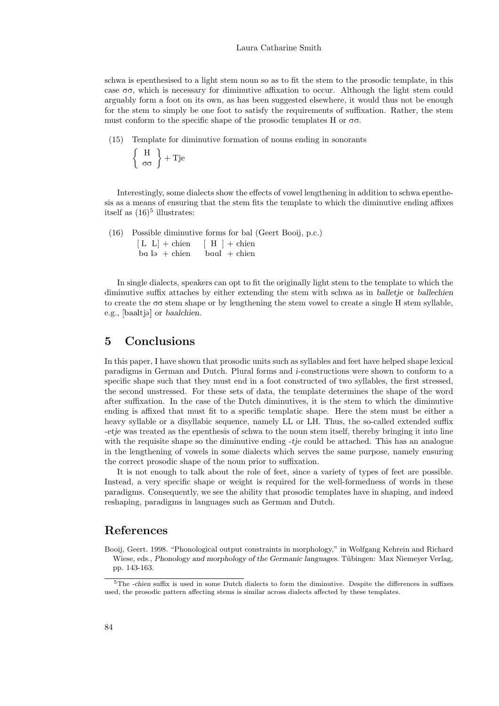schwa is epenthesised to a light stem noun so as to fit the stem to the prosodic template, in this case  $\sigma\sigma$ , which is necessary for diminutive affixation to occur. Although the light stem could arguably form a foot on its own, as has been suggested elsewhere, it would thus not be enough for the stem to simply be one foot to satisfy the requirements of suffixation. Rather, the stem must conform to the specific shape of the prosodic templates  $H$  or  $\sigma\sigma$ .

(15) Template for diminutive formation of nouns ending in sonorants

$$
\left\{\begin{array}{c}\nH \\
\sigma\sigma\n\end{array}\right\} + \text{Tje}
$$

Interestingly, some dialects show the effects of vowel lengthening in addition to schwa epenthesis as a means of ensuring that the stem fits the template to which the diminutive ending affixes itself as  $(16)^5$  illustrates:

(16) Possible diminutive forms for bal (Geert Booij, p.c.)  $[L L] +$ chien  $b$ a l $\rightarrow$  chien baal + chien  $[H] +$ chien  $b$ aal + chien

In single dialects, speakers can opt to fit the originally light stem to the template to which the diminutive suffix attaches by either extending the stem with schwa as in balletje or ballechien to create the  $\sigma\sigma$  stem shape or by lengthening the stem vowel to create a single H stem syllable, e.g., [baaltjə] or baalchien.

### 5 Conclusions

In this paper, I have shown that prosodic units such as syllables and feet have helped shape lexical paradigms in German and Dutch. Plural forms and i-constructions were shown to conform to a specific shape such that they must end in a foot constructed of two syllables, the first stressed, the second unstressed. For these sets of data, the template determines the shape of the word after suffixation. In the case of the Dutch diminutives, it is the stem to which the diminutive ending is affixed that must fit to a specific templatic shape. Here the stem must be either a heavy syllable or a disyllabic sequence, namely LL or LH. Thus, the so-called extended suffix -etje was treated as the epenthesis of schwa to the noun stem itself, thereby bringing it into line with the requisite shape so the diminutive ending  $-tj\acute{e}$  could be attached. This has an analogue in the lengthening of vowels in some dialects which serves the same purpose, namely ensuring the correct prosodic shape of the noun prior to suffixation.

It is not enough to talk about the role of feet, since a variety of types of feet are possible. Instead, a very specific shape or weight is required for the well-formedness of words in these paradigms. Consequently, we see the ability that prosodic templates have in shaping, and indeed reshaping, paradigms in languages such as German and Dutch.

### References

Booij, Geert. 1998. "Phonological output constraints in morphology," in Wolfgang Kehrein and Richard Wiese, eds., Phonology and morphology of the Germanic languages. Tübingen: Max Niemeyer Verlag, pp. 143-163.

 $5$ The -chien suffix is used in some Dutch dialects to form the diminutive. Despite the differences in suffixes used, the prosodic pattern affecting stems is similar across dialects affected by these templates.